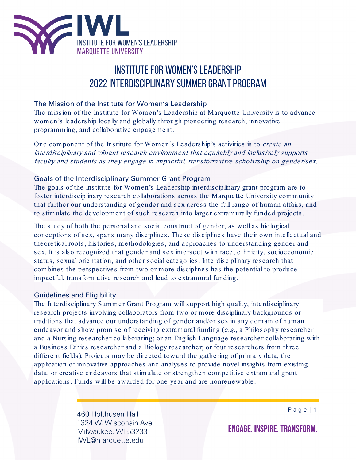

# INSTITUTE FOR WOMEN'S LEADERSHIP 2022INTERDISCIPLINARY SUMMER GRANT PROGRAM

### The Mission of the Institute for Women's Leadership

The mission of the Institute for Women's Leadership at Marquette University is to advance women's leadership locally and globally through pioneering research, innovative programming, and collaborative engagement.

One component of the Institute for Women's Leadership's activities is to *create an* interdisciplinary and vibrant research environment that equitably and inclusively supports faculty and students as they engage in impactful, transformative scholarship on gender/sex.

# Goals of the Interdisciplinary Summer Grant Program

The goals of the Institute for Women's Leadership interdisciplinary grant program are to foster interdisciplinary research collaborations across the Marquette University community that further our understanding of gender and sex across the full range of human affairs, and to stimulate the development of such research into larger extramurally funded projects.

The study of both the personal and social construct of gender, as well as biological conceptions of sex, spans many disciplines. These disciplines have their own intellectual and theoretical roots, histories, methodologies, and approaches to understanding gender and sex. It is also recognized that gender and sex intersect with race, ethnicity, socioeconomic status, sexual orientation, and other social categories. Interdisciplinary research that combines the perspectives from two or more disciplines has the potential to produce impactful, transformative research and lead to extramural funding.

#### Guidelines and Eligibility

The Interdisciplinary Summer Grant Program will support high quality, interdisciplinary research projects involving collaborators from two or more disciplinary backgrounds or traditions that advance our understanding of gender and/or sex in any domain of human endeavor and show promise of receiving extramural funding (e.g., a Philosophy researcher and a Nursing researcher collaborating; or an English Language researcher collaborating with a Business Ethics researcher and a Biology researcher; or four researchers from three different fields). Projects may be directed toward the gathering of primary data, the application of innovative approaches and analyses to provide novel insights from existing data, or creative endeavors that stimulate or strengthen competitive extramural grant applications. Funds will be awarded for one year and are nonrenewable.

> 460 Holthusen Hall 1324 W. Wisconsin Ave. Milwaukee, WI 53233 IWL@marquette.edu

Page | **1**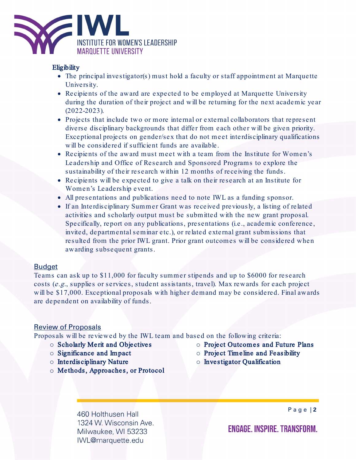

#### **Eligibility**

- The principal investigator(s) must hold a faculty or staff appointment at Marquette University.
- Recipients of the award are expected to be employed at Marquette University during the duration of their project and will be returning for the next academic year (2022-2023).
- Projects that include two or more internal or external collaborators that represent diverse disciplinary backgrounds that differ from each other will be given priority. Exceptional projects on gender/sex that do not meet interdisciplinary qualifications will be considered if sufficient funds are available.
- Recipients of the award must meet with a team from the Institute for Women's Leadership and Office of Research and Sponsored Programs to explore the sustainability of their research within 12 months of receiving the funds.
- Recipients will be expected to give a talk on their research at an Institute for Women's Leadership event.
- All presentations and publications need to note IWL as a funding sponsor.
- If an Interdisciplinary Summer Grant was received previously, a listing of related activities and scholarly output must be submitted with the new grant proposal. Specifically, report on any publications, presentations (i.e., academic conference, invited, departmental seminar etc.), or related external grant submissions that resulted from the prior IWL grant. Prior grant outcomes will be considered when awarding subsequent grants.

#### Budget

Teams can ask up to \$11,000 for faculty summer stipends and up to \$6000 for research costs (e.g., supplies or services, student assistants, travel). Max rewards for each project will be \$17,000. Exceptional proposals with higher demand may be considered. Final awards are dependent on availability of funds.

# Review of Proposals

Proposals will be reviewed by the IWL team and based on the following criteria:

- o Scholarly Merit and Objectives
- o Significance and Impact
- o Interdisciplinary Nature
- o Methods, Approaches, or Protocol
- o Project Outcomes and Future Plans
- $\circ$  Project Timeline and Feasibility
- o Investigator Qualification

460 Holthusen Hall 1324 W. Wisconsin Ave. Milwaukee, WI 53233 IWL@marquette.edu

Page | **2**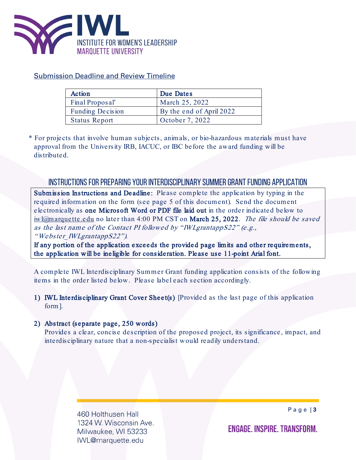

# Submission Deadline and Review Timeline

| Action               | Due Dates                |
|----------------------|--------------------------|
| Final Proposal*      | March 25, 2022           |
| Funding Decision     | By the end of April 2022 |
| <b>Status Report</b> | October 7, 2022          |

\* For projects that involve human subjects, animals, or bio-hazardous materials must have approval from the University IRB, IACUC, or IBC before the award funding will be distributed.

# INSTRUCTIONS FOR PREPARING YOUR INTERDISCIPLINARY SUMMER GRANT FUNDING APPLICATION

Submission Instructions and Deadline: Please complete the application by typing in the required information on the form (see page 5 of this document). Send the document electronically as one Microsoft Word or PDF file laid out in the order indicated below to iwl@marquette.edu no later than 4:00 PM CST on March 25, 2022. The file should be saved as the last name of the Contact PI followed by "IWLgrantappS22" (e.g.,

"Webster\_IWLgrantappS22").

If any portion of the application exceeds the provided page limits and other requirements, the application will be ineligible for consideration. Please use 11-point Arial font.

A complete IWL Interdisciplinary Summer Grant funding application consists of the following items in the order listed below. Please label each section accordingly.

1) IWL Interdisciplinary Grant Cover Sheet(s) [Provided as the last page of this application form].

#### 2) Abstract (separate page, 250 words)

Provides a clear, concise description of the proposed project, its significance, impact, and interdisciplinary nature that a non-specialist would readily understand.

> 460 Holthusen Hall 1324 W. Wisconsin Ave. Milwaukee, WI 53233 IWL@marquette.edu

Page | **3**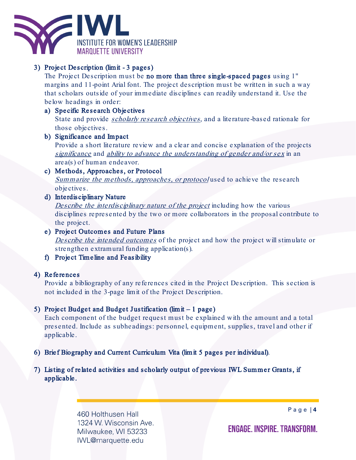

# 3) Project Description (limit - 3 pages)

The Project Description must be no more than three single-spaced pages using 1" margins and 11-point Arial font. The project description must be written in such a way that scholars outside of your immediate disciplines can readily understand it. Use the below headings in order:

#### a) Specific Research Objectives

State and provide *scholarly research objectives*, and a literature-based rationale for those objectives.

#### b) Significance and Impact

Provide a short literature review and a clear and concise explanation of the projects significance and ability to advance the understanding of gender and/or sex in an area(s) of human endeavor.

#### c) Methods, Approaches, or Protocol Summarize the methods, approaches, or protocol used to achieve the research objectives.

d) Interdisciplinary Nature

Describe the interdisciplinary nature of the project including how the various disciplines represented by the two or more collaborators in the proposal contribute to the project.

# e) Project Outcomes and Future Plans

Describe the intended outcomes of the project and how the project will stimulate or strengthen extramural funding application(s).

f) Project Timeline and Feasibility

# 4) References

Provide a bibliography of any references cited in the Project Description. This section is not included in the 3-page limit of the Project Description.

# 5) Project Budget and Budget Justification (limit – 1 page)

Each component of the budget request must be explained with the amount and a total presented. Include as subheadings: personnel, equipment, supplies, travel and other if applicable.

- 6) Brief Biography and Current Curriculum Vita (limit 5 pages per individual).
- 7) Listing of related activities and scholarly output of previous IWL Summer Grants, if applicable.

460 Holthusen Hall 1324 W. Wisconsin Ave. Milwaukee, WI 53233 IWL@marquette.edu

Page | **4**